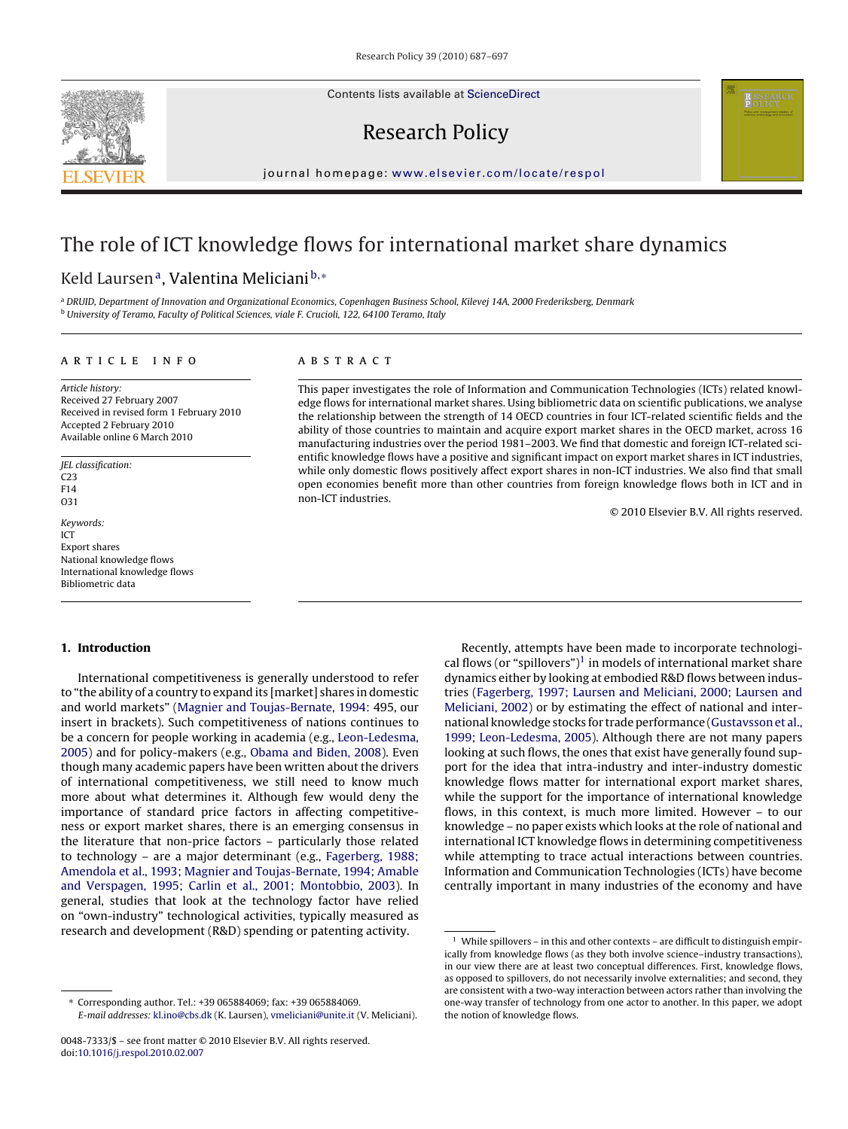Contents lists available at [ScienceDirect](http://www.sciencedirect.com/science/journal/00487333)



# Research Policy

journal homepage: [www.elsevier.com/locate/respol](http://www.elsevier.com/locate/respol)

# The role of ICT knowledge flows for international market share dynamics

# Keld Laursen<sup>a</sup>, Valentina Meliciani<sup>b,∗</sup>

a DRUID, Department of Innovation and Organizational Economics, Copenhagen Business School, Kilevej 14A, 2000 Frederiksberg, Denmark <sup>b</sup> University of Teramo, Faculty of Political Sciences, viale F. Crucioli, 122, 64100 Teramo, Italy

# article info

Article history: Received 27 February 2007 Received in revised form 1 February 2010 Accepted 2 February 2010 Available online 6 March 2010

JEL classification: C23 F14 O31 Keywords: ICT Export shares National knowledge flows

International knowledge flows

### ABSTRACT

This paper investigates the role of Information and Communication Technologies (ICTs) related knowledge flows for international market shares. Using bibliometric data on scientific publications, we analyse the relationship between the strength of 14 OECD countries in four ICT-related scientific fields and the ability of those countries to maintain and acquire export market shares in the OECD market, across 16 manufacturing industries over the period 1981–2003. We find that domestic and foreign ICT-related scientific knowledge flows have a positive and significant impact on export market shares in ICT industries, while only domestic flows positively affect export shares in non-ICT industries. We also find that small open economies benefit more than other countries from foreign knowledge flows both in ICT and in non-ICT industries.

© 2010 Elsevier B.V. All rights reserved.

## **1. Introduction**

Bibliometric data

International competitiveness is generally understood to refer to "the ability of a country to expand its [market] shares in domestic and world markets" ([Magnier and Toujas-Bernate, 1994:](#page-10-0) 495, our insert in brackets). Such competitiveness of nations continues to be a concern for people working in academia (e.g., [Leon-Ledesma,](#page-10-0) [2005\)](#page-10-0) and for policy-makers (e.g., [Obama and Biden, 2008\).](#page-10-0) Even though many academic papers have been written about the drivers of international competitiveness, we still need to know much more about what determines it. Although few would deny the importance of standard price factors in affecting competitiveness or export market shares, there is an emerging consensus in the literature that non-price factors – particularly those related to technology – are a major determinant (e.g., [Fagerberg, 1988;](#page-9-0) [Amendola et al., 1993; Magnier and Toujas-Bernate, 1994; Amable](#page-9-0) [and Verspagen, 1995; Carlin et al., 2001; Montobbio, 2003\).](#page-9-0) In general, studies that look at the technology factor have relied on "own-industry" technological activities, typically measured as research and development (R&D) spending or patenting activity.

Recently, attempts have been made to incorporate technological flows (or "spillovers")<sup>1</sup> in models of international market share dynamics either by looking at embodied R&D flows between industries [\(Fagerberg, 1997; Laursen and Meliciani, 2000; Laursen and](#page-10-0) [Meliciani, 2002\)](#page-10-0) or by estimating the effect of national and international knowledge stocks for trade performance ([Gustavsson et al.,](#page-10-0) [1999; Leon-Ledesma, 2005\).](#page-10-0) Although there are not many papers looking at such flows, the ones that exist have generally found support for the idea that intra-industry and inter-industry domestic knowledge flows matter for international export market shares, while the support for the importance of international knowledge flows, in this context, is much more limited. However – to our knowledge – no paper exists which looks at the role of national and international ICT knowledge flows in determining competitiveness while attempting to trace actual interactions between countries. Information and Communication Technologies (ICTs) have become centrally important in many industries of the economy and have

<sup>∗</sup> Corresponding author. Tel.: +39 065884069; fax: +39 065884069. E-mail addresses: [kl.ino@cbs.dk](mailto:kl.ino@cbs.dk) (K. Laursen), [vmeliciani@unite.it](mailto:vmeliciani@unite.it) (V. Meliciani).

<sup>0048-7333/\$ –</sup> see front matter © 2010 Elsevier B.V. All rights reserved. doi:[10.1016/j.respol.2010.02.007](dx.doi.org/10.1016/j.respol.2010.02.007)

 $1$  While spillovers – in this and other contexts – are difficult to distinguish empirically from knowledge flows (as they both involve science–industry transactions), in our view there are at least two conceptual differences. First, knowledge flows, as opposed to spillovers, do not necessarily involve externalities; and second, they are consistent with a two-way interaction between actors rather than involving the one-way transfer of technology from one actor to another. In this paper, we adopt the notion of knowledge flows.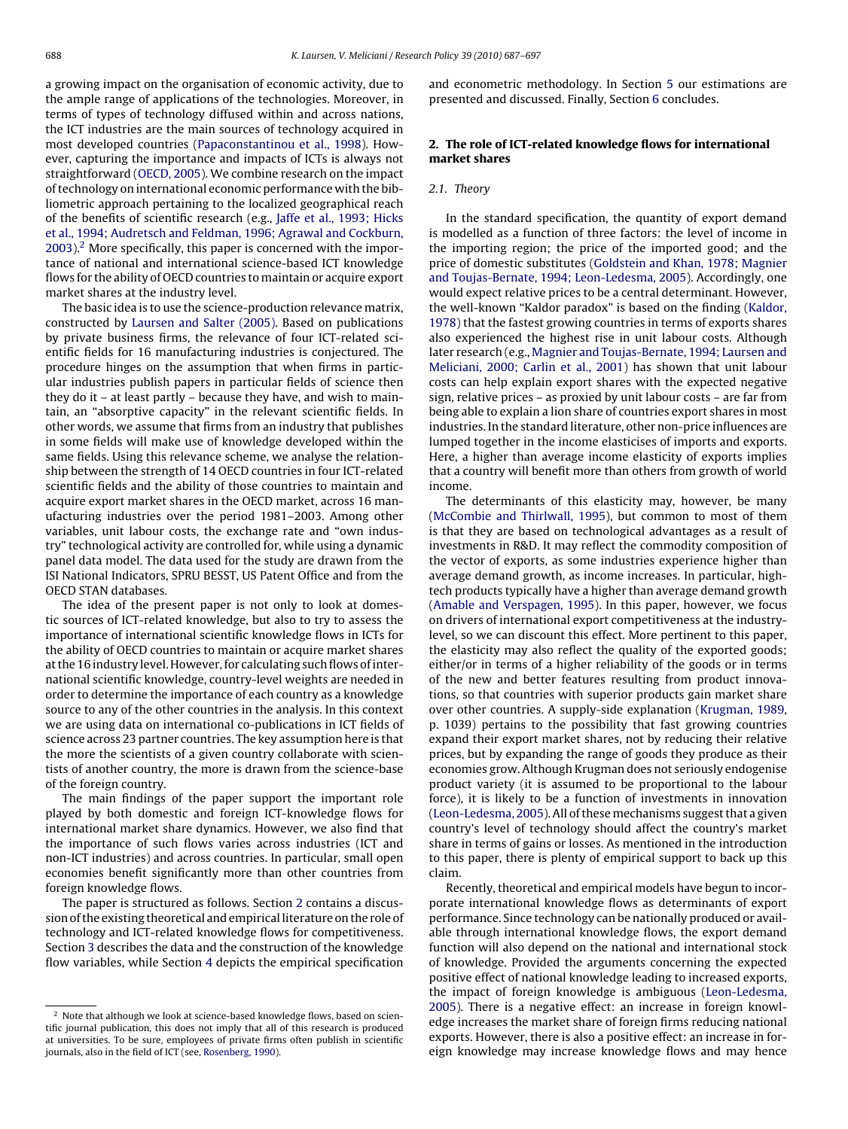<span id="page-1-0"></span>a growing impact on the organisation of economic activity, due to the ample range of applications of the technologies. Moreover, in terms of types of technology diffused within and across nations, the ICT industries are the main sources of technology acquired in most developed countries ([Papaconstantinou et al., 1998\).](#page-10-0) However, capturing the importance and impacts of ICTs is always not straightforward ([OECD, 2005\).](#page-10-0) We combine research on the impact of technology on international economic performance with the bibliometric approach pertaining to the localized geographical reach of the benefits of scientific research (e.g., [Jaffe et al., 1993; Hicks](#page-10-0) [et al., 1994; Audretsch and Feldman, 1996; Agrawal and Cockburn,](#page-10-0) [2003\).](#page-10-0)2 More specifically, this paper is concerned with the importance of national and international science-based ICT knowledge flows for the ability of OECD countries to maintain or acquire export market shares at the industry level.

The basic idea is to use the science-production relevance matrix, constructed by [Laursen and Salter \(2005\).](#page-10-0) Based on publications by private business firms, the relevance of four ICT-related scientific fields for 16 manufacturing industries is conjectured. The procedure hinges on the assumption that when firms in particular industries publish papers in particular fields of science then they do it – at least partly – because they have, and wish to maintain, an "absorptive capacity" in the relevant scientific fields. In other words, we assume that firms from an industry that publishes in some fields will make use of knowledge developed within the same fields. Using this relevance scheme, we analyse the relationship between the strength of 14 OECD countries in four ICT-related scientific fields and the ability of those countries to maintain and acquire export market shares in the OECD market, across 16 manufacturing industries over the period 1981–2003. Among other variables, unit labour costs, the exchange rate and "own industry" technological activity are controlled for, while using a dynamic panel data model. The data used for the study are drawn from the ISI National Indicators, SPRU BESST, US Patent Office and from the OECD STAN databases.

The idea of the present paper is not only to look at domestic sources of ICT-related knowledge, but also to try to assess the importance of international scientific knowledge flows in ICTs for the ability of OECD countries to maintain or acquire market shares at the 16 industry level. However, for calculating such flows of international scientific knowledge, country-level weights are needed in order to determine the importance of each country as a knowledge source to any of the other countries in the analysis. In this context we are using data on international co-publications in ICT fields of science across 23 partner countries. The key assumption here is that the more the scientists of a given country collaborate with scientists of another country, the more is drawn from the science-base of the foreign country.

The main findings of the paper support the important role played by both domestic and foreign ICT-knowledge flows for international market share dynamics. However, we also find that the importance of such flows varies across industries (ICT and non-ICT industries) and across countries. In particular, small open economies benefit significantly more than other countries from foreign knowledge flows.

The paper is structured as follows. Section 2 contains a discussion of the existing theoretical and empirical literature on the role of technology and ICT-related knowledge flows for competitiveness. Section [3](#page-3-0) describes the data and the construction of the knowledge flow variables, while Section [4](#page-5-0) depicts the empirical specification

and econometric methodology. In Section [5](#page-7-0) our estimations are presented and discussed. Finally, Section [6](#page-9-0) concludes.

# **2. The role of ICT-related knowledge flows for international market shares**

#### 2.1. Theory

In the standard specification, the quantity of export demand is modelled as a function of three factors: the level of income in the importing region; the price of the imported good; and the price of domestic substitutes [\(Goldstein and Khan, 1978; Magnier](#page-10-0) [and Toujas-Bernate, 1994; Leon-Ledesma, 2005\).](#page-10-0) Accordingly, one would expect relative prices to be a central determinant. However, the well-known "Kaldor paradox" is based on the finding ([Kaldor,](#page-10-0) [1978\) t](#page-10-0)hat the fastest growing countries in terms of exports shares also experienced the highest rise in unit labour costs. Although later research (e.g., [Magnier and Toujas-Bernate, 1994; Laursen and](#page-10-0) [Meliciani, 2000; Carlin et al., 2001\)](#page-10-0) has shown that unit labour costs can help explain export shares with the expected negative sign, relative prices – as proxied by unit labour costs – are far from being able to explain a lion share of countries export shares in most industries. In the standard literature, other non-price influences are lumped together in the income elasticises of imports and exports. Here, a higher than average income elasticity of exports implies that a country will benefit more than others from growth of world income.

The determinants of this elasticity may, however, be many [\(McCombie and Thirlwall, 1995\),](#page-10-0) but common to most of them is that they are based on technological advantages as a result of investments in R&D. It may reflect the commodity composition of the vector of exports, as some industries experience higher than average demand growth, as income increases. In particular, hightech products typically have a higher than average demand growth [\(Amable and Verspagen, 1995\).](#page-9-0) In this paper, however, we focus on drivers of international export competitiveness at the industrylevel, so we can discount this effect. More pertinent to this paper, the elasticity may also reflect the quality of the exported goods; either/or in terms of a higher reliability of the goods or in terms of the new and better features resulting from product innovations, so that countries with superior products gain market share over other countries. A supply-side explanation ([Krugman, 1989,](#page-10-0) p. 1039) pertains to the possibility that fast growing countries expand their export market shares, not by reducing their relative prices, but by expanding the range of goods they produce as their economies grow. Although Krugman does not seriously endogenise product variety (it is assumed to be proportional to the labour force), it is likely to be a function of investments in innovation [\(Leon-Ledesma, 2005\).](#page-10-0) All of thesemechanisms suggest that a given country's level of technology should affect the country's market share in terms of gains or losses. As mentioned in the introduction to this paper, there is plenty of empirical support to back up this claim.

Recently, theoretical and empirical models have begun to incorporate international knowledge flows as determinants of export performance. Since technology can be nationally produced or available through international knowledge flows, the export demand function will also depend on the national and international stock of knowledge. Provided the arguments concerning the expected positive effect of national knowledge leading to increased exports, the impact of foreign knowledge is ambiguous ([Leon-Ledesma,](#page-10-0) [2005\).](#page-10-0) There is a negative effect: an increase in foreign knowledge increases the market share of foreign firms reducing national exports. However, there is also a positive effect: an increase in foreign knowledge may increase knowledge flows and may hence

<sup>&</sup>lt;sup>2</sup> Note that although we look at science-based knowledge flows, based on scientific journal publication, this does not imply that all of this research is produced at universities. To be sure, employees of private firms often publish in scientific journals, also in the field of ICT (see, [Rosenberg, 1990\).](#page-10-0)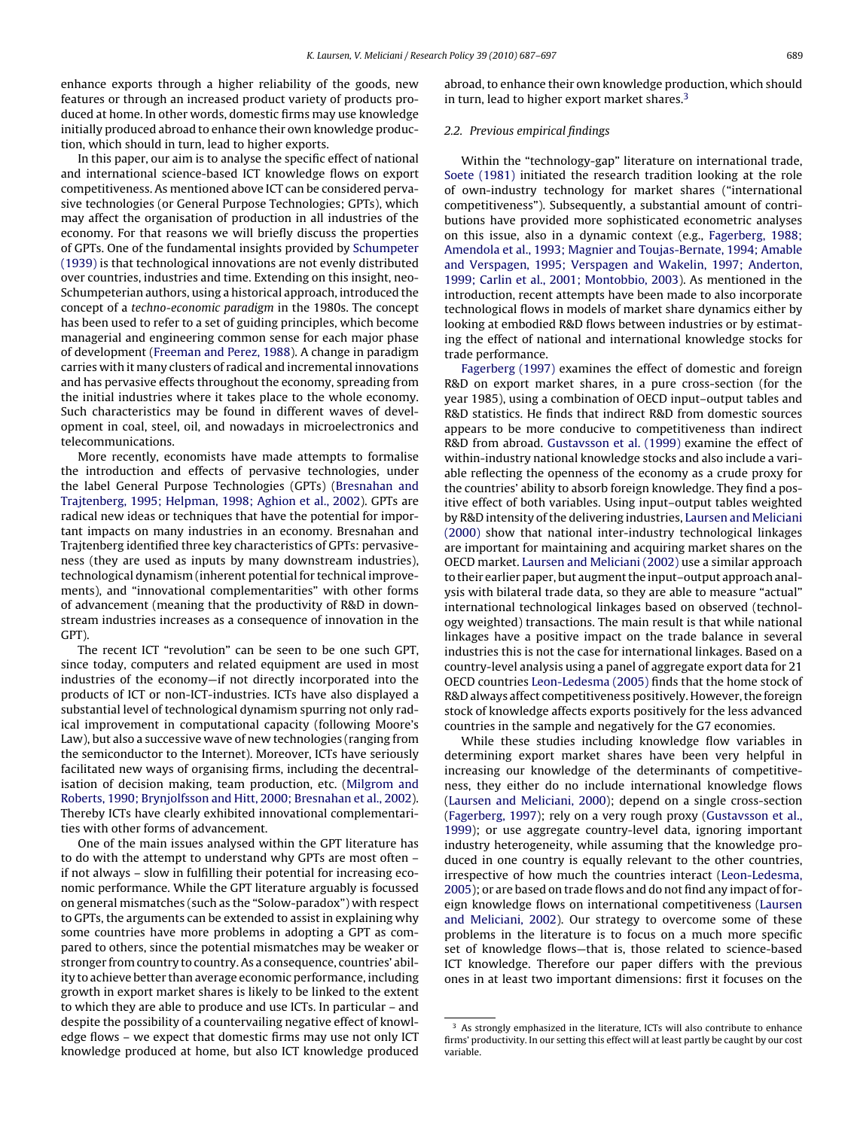<span id="page-2-0"></span>enhance exports through a higher reliability of the goods, new features or through an increased product variety of products produced at home. In other words, domestic firms may use knowledge initially produced abroad to enhance their own knowledge production, which should in turn, lead to higher exports.

In this paper, our aim is to analyse the specific effect of national and international science-based ICT knowledge flows on export competitiveness. As mentioned above ICT can be considered pervasive technologies (or General Purpose Technologies; GPTs), which may affect the organisation of production in all industries of the economy. For that reasons we will briefly discuss the properties of GPTs. One of the fundamental insights provided by [Schumpeter](#page-10-0) [\(1939\)](#page-10-0) is that technological innovations are not evenly distributed over countries, industries and time. Extending on this insight, neo-Schumpeterian authors, using a historical approach, introduced the concept of a techno-economic paradigm in the 1980s. The concept has been used to refer to a set of guiding principles, which become managerial and engineering common sense for each major phase of development ([Freeman and Perez, 1988\).](#page-10-0) A change in paradigm carries with it many clusters of radical and incremental innovations and has pervasive effects throughout the economy, spreading from the initial industries where it takes place to the whole economy. Such characteristics may be found in different waves of development in coal, steel, oil, and nowadays in microelectronics and telecommunications.

More recently, economists have made attempts to formalise the introduction and effects of pervasive technologies, under the label General Purpose Technologies (GPTs) ([Bresnahan and](#page-9-0) [Trajtenberg, 1995; Helpman, 1998; Aghion et al., 2002\).](#page-9-0) GPTs are radical new ideas or techniques that have the potential for important impacts on many industries in an economy. Bresnahan and Trajtenberg identified three key characteristics of GPTs: pervasiveness (they are used as inputs by many downstream industries), technological dynamism (inherent potential for technical improvements), and "innovational complementarities" with other forms of advancement (meaning that the productivity of R&D in downstream industries increases as a consequence of innovation in the GPT).

The recent ICT "revolution" can be seen to be one such GPT, since today, computers and related equipment are used in most industries of the economy—if not directly incorporated into the products of ICT or non-ICT-industries. ICTs have also displayed a substantial level of technological dynamism spurring not only radical improvement in computational capacity (following Moore's Law), but also a successive wave of new technologies (ranging from the semiconductor to the Internet). Moreover, ICTs have seriously facilitated new ways of organising firms, including the decentralisation of decision making, team production, etc. [\(Milgrom and](#page-10-0) [Roberts, 1990; Brynjolfsson and Hitt, 2000; Bresnahan et al., 2002\).](#page-10-0) Thereby ICTs have clearly exhibited innovational complementarities with other forms of advancement.

One of the main issues analysed within the GPT literature has to do with the attempt to understand why GPTs are most often – if not always – slow in fulfilling their potential for increasing economic performance. While the GPT literature arguably is focussed on general mismatches (such as the "Solow-paradox") with respect to GPTs, the arguments can be extended to assist in explaining why some countries have more problems in adopting a GPT as compared to others, since the potential mismatches may be weaker or stronger from country to country. As a consequence, countries' ability to achieve better than average economic performance, including growth in export market shares is likely to be linked to the extent to which they are able to produce and use ICTs. In particular – and despite the possibility of a countervailing negative effect of knowledge flows – we expect that domestic firms may use not only ICT knowledge produced at home, but also ICT knowledge produced

abroad, to enhance their own knowledge production, which should in turn, lead to higher export market shares.<sup>3</sup>

## 2.2. Previous empirical findings

Within the "technology-gap" literature on international trade, [Soete \(1981\)](#page-10-0) initiated the research tradition looking at the role of own-industry technology for market shares ("international competitiveness"). Subsequently, a substantial amount of contributions have provided more sophisticated econometric analyses on this issue, also in a dynamic context (e.g., [Fagerberg, 1988;](#page-9-0) [Amendola et al., 1993; Magnier and Toujas-Bernate, 1994; Amable](#page-9-0) [and Verspagen, 1995; Verspagen and Wakelin, 1997; Anderton,](#page-9-0) [1999; Carlin et al., 2001; Montobbio, 2003\).](#page-9-0) As mentioned in the introduction, recent attempts have been made to also incorporate technological flows in models of market share dynamics either by looking at embodied R&D flows between industries or by estimating the effect of national and international knowledge stocks for trade performance.

[Fagerberg \(1997\)](#page-10-0) examines the effect of domestic and foreign R&D on export market shares, in a pure cross-section (for the year 1985), using a combination of OECD input–output tables and R&D statistics. He finds that indirect R&D from domestic sources appears to be more conducive to competitiveness than indirect R&D from abroad. [Gustavsson et al. \(1999\)](#page-10-0) examine the effect of within-industry national knowledge stocks and also include a variable reflecting the openness of the economy as a crude proxy for the countries' ability to absorb foreign knowledge. They find a positive effect of both variables. Using input–output tables weighted by R&D intensity of the delivering industries, [Laursen and Meliciani](#page-10-0) [\(2000\)](#page-10-0) show that national inter-industry technological linkages are important for maintaining and acquiring market shares on the OECD market. [Laursen and Meliciani \(2002\)](#page-10-0) use a similar approach to their earlier paper, but augment the input–output approach analysis with bilateral trade data, so they are able to measure "actual" international technological linkages based on observed (technology weighted) transactions. The main result is that while national linkages have a positive impact on the trade balance in several industries this is not the case for international linkages. Based on a country-level analysis using a panel of aggregate export data for 21 OECD countries [Leon-Ledesma \(2005\)](#page-10-0) finds that the home stock of R&D always affect competitiveness positively. However, the foreign stock of knowledge affects exports positively for the less advanced countries in the sample and negatively for the G7 economies.

While these studies including knowledge flow variables in determining export market shares have been very helpful in increasing our knowledge of the determinants of competitiveness, they either do no include international knowledge flows [\(Laursen and Meliciani, 2000\);](#page-10-0) depend on a single cross-section [\(Fagerberg, 1997\);](#page-10-0) rely on a very rough proxy [\(Gustavsson et al.,](#page-10-0) [1999\);](#page-10-0) or use aggregate country-level data, ignoring important industry heterogeneity, while assuming that the knowledge produced in one country is equally relevant to the other countries, irrespective of how much the countries interact ([Leon-Ledesma,](#page-10-0) [2005\);](#page-10-0) or are based on trade flows and do not find any impact of foreign knowledge flows on international competitiveness ([Laursen](#page-10-0) [and Meliciani, 2002\).](#page-10-0) Our strategy to overcome some of these problems in the literature is to focus on a much more specific set of knowledge flows—that is, those related to science-based ICT knowledge. Therefore our paper differs with the previous ones in at least two important dimensions: first it focuses on the

<sup>&</sup>lt;sup>3</sup> As strongly emphasized in the literature, ICTs will also contribute to enhance firms' productivity. In our setting this effect will at least partly be caught by our cost variable.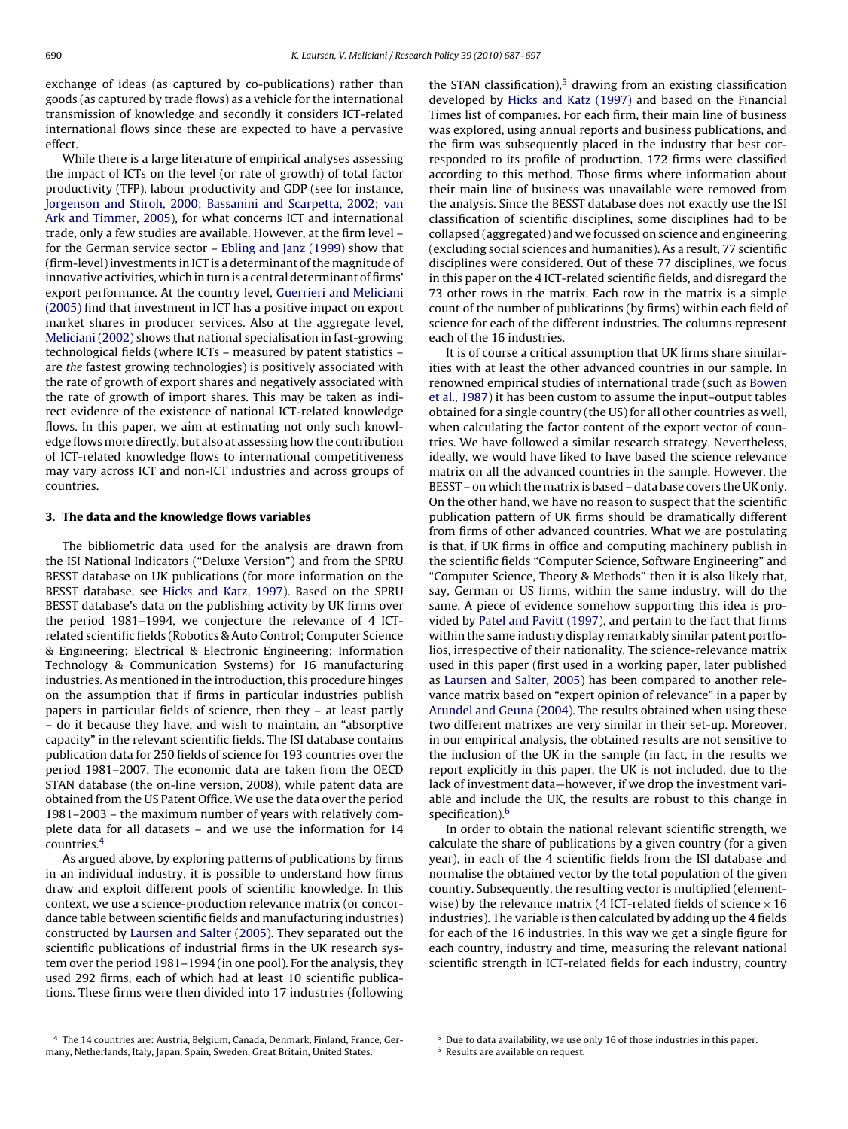<span id="page-3-0"></span>exchange of ideas (as captured by co-publications) rather than goods (as captured by trade flows) as a vehicle for the international transmission of knowledge and secondly it considers ICT-related international flows since these are expected to have a pervasive effect.

While there is a large literature of empirical analyses assessing the impact of ICTs on the level (or rate of growth) of total factor productivity (TFP), labour productivity and GDP (see for instance, [Jorgenson and Stiroh, 2000; Bassanini and Scarpetta, 2002; van](#page-10-0) [Ark and Timmer, 2005\),](#page-10-0) for what concerns ICT and international trade, only a few studies are available. However, at the firm level – for the German service sector – [Ebling and Janz \(1999\)](#page-9-0) show that (firm-level) investments in ICT is a determinant of the magnitude of innovative activities, which in turn is a central determinant of firms' export performance. At the country level, [Guerrieri and Meliciani](#page-10-0) [\(2005\)](#page-10-0) find that investment in ICT has a positive impact on export market shares in producer services. Also at the aggregate level, [Meliciani \(2002\)](#page-10-0) shows that national specialisation in fast-growing technological fields (where ICTs – measured by patent statistics – are the fastest growing technologies) is positively associated with the rate of growth of export shares and negatively associated with the rate of growth of import shares. This may be taken as indirect evidence of the existence of national ICT-related knowledge flows. In this paper, we aim at estimating not only such knowledge flows more directly, but also at assessing how the contribution of ICT-related knowledge flows to international competitiveness may vary across ICT and non-ICT industries and across groups of countries.

# **3. The data and the knowledge flows variables**

The bibliometric data used for the analysis are drawn from the ISI National Indicators ("Deluxe Version") and from the SPRU BESST database on UK publications (for more information on the BESST database, see [Hicks and Katz, 1997\).](#page-10-0) Based on the SPRU BESST database's data on the publishing activity by UK firms over the period 1981–1994, we conjecture the relevance of 4 ICTrelated scientific fields (Robotics & Auto Control; Computer Science & Engineering; Electrical & Electronic Engineering; Information Technology & Communication Systems) for 16 manufacturing industries. As mentioned in the introduction, this procedure hinges on the assumption that if firms in particular industries publish papers in particular fields of science, then they – at least partly – do it because they have, and wish to maintain, an "absorptive capacity" in the relevant scientific fields. The ISI database contains publication data for 250 fields of science for 193 countries over the period 1981–2007. The economic data are taken from the OECD STAN database (the on-line version, 2008), while patent data are obtained from the US Patent Office. We use the data over the period 1981–2003 – the maximum number of years with relatively complete data for all datasets – and we use the information for 14 countries.4

As argued above, by exploring patterns of publications by firms in an individual industry, it is possible to understand how firms draw and exploit different pools of scientific knowledge. In this context, we use a science-production relevance matrix (or concordance table between scientific fields and manufacturing industries) constructed by [Laursen and Salter \(2005\). T](#page-10-0)hey separated out the scientific publications of industrial firms in the UK research system over the period 1981–1994 (in one pool). For the analysis, they used 292 firms, each of which had at least 10 scientific publications. These firms were then divided into 17 industries (following the STAN classification), $5$  drawing from an existing classification developed by [Hicks and Katz \(1997\)](#page-10-0) and based on the Financial Times list of companies. For each firm, their main line of business was explored, using annual reports and business publications, and the firm was subsequently placed in the industry that best corresponded to its profile of production. 172 firms were classified according to this method. Those firms where information about their main line of business was unavailable were removed from the analysis. Since the BESST database does not exactly use the ISI classification of scientific disciplines, some disciplines had to be collapsed (aggregated) and we focussed on science and engineering (excluding social sciences and humanities). As a result, 77 scientific disciplines were considered. Out of these 77 disciplines, we focus in this paper on the 4 ICT-related scientific fields, and disregard the 73 other rows in the matrix. Each row in the matrix is a simple count of the number of publications (by firms) within each field of science for each of the different industries. The columns represent each of the 16 industries.

It is of course a critical assumption that UK firms share similarities with at least the other advanced countries in our sample. In renowned empirical studies of international trade (such as [Bowen](#page-9-0) [et al., 1987\)](#page-9-0) it has been custom to assume the input–output tables obtained for a single country (the US) for all other countries as well, when calculating the factor content of the export vector of countries. We have followed a similar research strategy. Nevertheless, ideally, we would have liked to have based the science relevance matrix on all the advanced countries in the sample. However, the BESST – on which the matrix is based – data base covers the UK only. On the other hand, we have no reason to suspect that the scientific publication pattern of UK firms should be dramatically different from firms of other advanced countries. What we are postulating is that, if UK firms in office and computing machinery publish in the scientific fields "Computer Science, Software Engineering" and "Computer Science, Theory & Methods" then it is also likely that, say, German or US firms, within the same industry, will do the same. A piece of evidence somehow supporting this idea is provided by [Patel and Pavitt \(1997\), a](#page-10-0)nd pertain to the fact that firms within the same industry display remarkably similar patent portfolios, irrespective of their nationality. The science-relevance matrix used in this paper (first used in a working paper, later published as [Laursen and Salter, 2005\)](#page-10-0) has been compared to another relevance matrix based on "expert opinion of relevance" in a paper by [Arundel and Geuna \(2004\). T](#page-9-0)he results obtained when using these two different matrixes are very similar in their set-up. Moreover, in our empirical analysis, the obtained results are not sensitive to the inclusion of the UK in the sample (in fact, in the results we report explicitly in this paper, the UK is not included, due to the lack of investment data—however, if we drop the investment variable and include the UK, the results are robust to this change in specification).<sup>6</sup>

In order to obtain the national relevant scientific strength, we calculate the share of publications by a given country (for a given year), in each of the 4 scientific fields from the ISI database and normalise the obtained vector by the total population of the given country. Subsequently, the resulting vector is multiplied (elementwise) by the relevance matrix (4 ICT-related fields of science  $\times$  16 industries). The variable is then calculated by adding up the 4 fields for each of the 16 industries. In this way we get a single figure for each country, industry and time, measuring the relevant national scientific strength in ICT-related fields for each industry, country

<sup>4</sup> The 14 countries are: Austria, Belgium, Canada, Denmark, Finland, France, Germany, Netherlands, Italy, Japan, Spain, Sweden, Great Britain, United States.

<sup>5</sup> Due to data availability, we use only 16 of those industries in this paper.

<sup>6</sup> Results are available on request.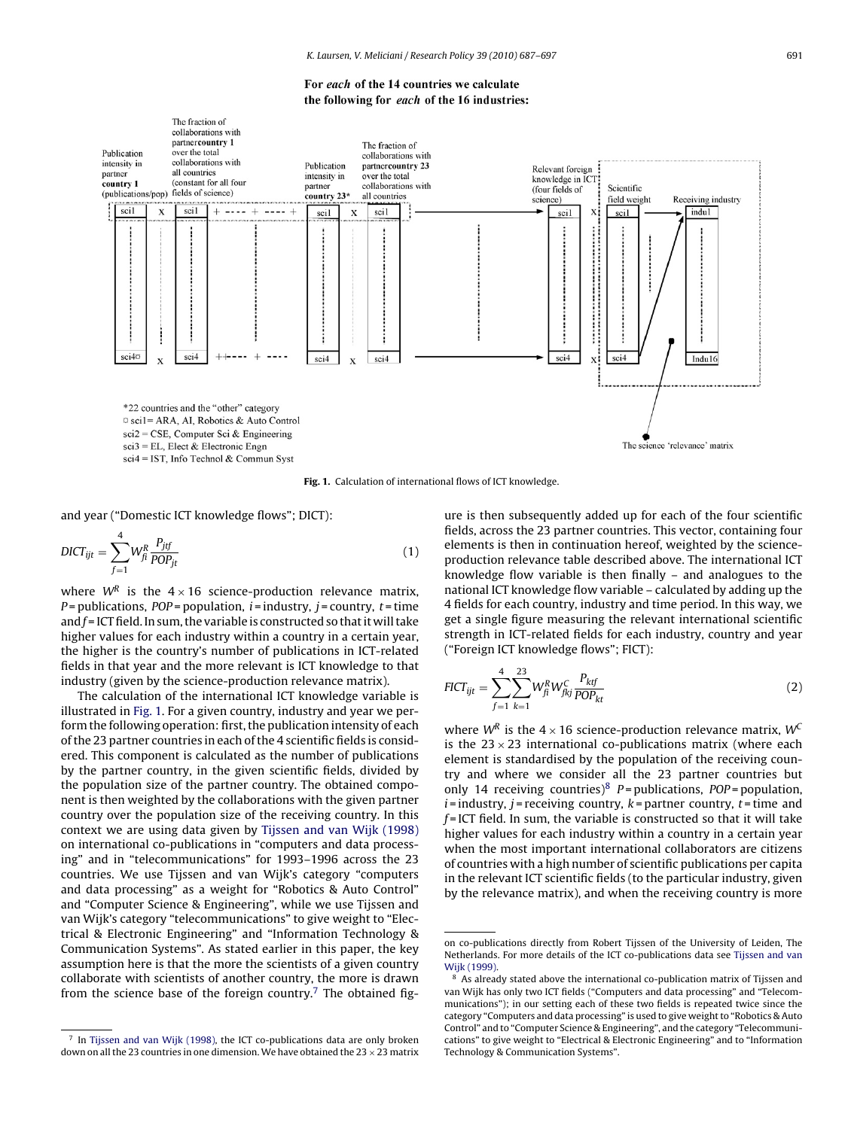For each of the 14 countries we calculate the following for each of the 16 industries:



**Fig. 1.** Calculation of international flows of ICT knowledge.

and year ("Domestic ICT knowledge flows"; DICT):

$$
DICT_{ijt} = \sum_{f=1}^{4} W_{fi}^R \frac{P_{jf}}{POP_{jt}} \tag{1}
$$

where  $W^R$  is the  $4 \times 16$  science-production relevance matrix,  $P =$  publications,  $POP =$  population,  $i =$  industry,  $j =$  country,  $t =$  time and  $f$  = ICT field. In sum, the variable is constructed so that it will take higher values for each industry within a country in a certain year, the higher is the country's number of publications in ICT-related fields in that year and the more relevant is ICT knowledge to that industry (given by the science-production relevance matrix).

The calculation of the international ICT knowledge variable is illustrated in Fig. 1. For a given country, industry and year we perform the following operation: first, the publication intensity of each of the 23 partner countries in each of the 4 scientific fields is considered. This component is calculated as the number of publications by the partner country, in the given scientific fields, divided by the population size of the partner country. The obtained component is then weighted by the collaborations with the given partner country over the population size of the receiving country. In this context we are using data given by [Tijssen and van Wijk \(1998\)](#page-10-0) on international co-publications in "computers and data processing" and in "telecommunications" for 1993–1996 across the 23 countries. We use Tijssen and van Wijk's category "computers and data processing" as a weight for "Robotics & Auto Control" and "Computer Science & Engineering", while we use Tijssen and van Wijk's category "telecommunications" to give weight to "Electrical & Electronic Engineering" and "Information Technology & Communication Systems". As stated earlier in this paper, the key assumption here is that the more the scientists of a given country collaborate with scientists of another country, the more is drawn from the science base of the foreign country.<sup>7</sup> The obtained figure is then subsequently added up for each of the four scientific fields, across the 23 partner countries. This vector, containing four elements is then in continuation hereof, weighted by the scienceproduction relevance table described above. The international ICT knowledge flow variable is then finally – and analogues to the national ICT knowledge flow variable – calculated by adding up the 4 fields for each country, industry and time period. In this way, we get a single figure measuring the relevant international scientific strength in ICT-related fields for each industry, country and year ("Foreign ICT knowledge flows"; FICT):

$$
FICT_{ijt} = \sum_{f=1}^{4} \sum_{k=1}^{23} W_{fi}^{R} W_{fkj}^{C} \frac{P_{ktf}}{POP_{kt}}
$$
(2)

where  $W^R$  is the 4 × 16 science-production relevance matrix,  $W^C$ is the  $23 \times 23$  international co-publications matrix (where each element is standardised by the population of the receiving country and where we consider all the 23 partner countries but only 14 receiving countries)<sup>8</sup>  $P =$  publications,  $POP =$  population,  $i =$  industry,  $j =$  receiving country,  $k =$  partner country,  $t =$  time and  $f =$ ICT field. In sum, the variable is constructed so that it will take higher values for each industry within a country in a certain year when the most important international collaborators are citizens of countries with a high number of scientific publications per capita in the relevant ICT scientific fields (to the particular industry, given by the relevance matrix), and when the receiving country is more

<sup>7</sup> In [Tijssen and van Wijk \(1998\), t](#page-10-0)he ICT co-publications data are only broken down on all the 23 countries in one dimension. We have obtained the 23  $\times$  23 matrix

on co-publications directly from Robert Tijssen of the University of Leiden, The Netherlands. For more details of the ICT co-publications data see [Tijssen and van](#page-10-0) [Wijk \(1999\).](#page-10-0)

As already stated above the international co-publication matrix of Tijssen and van Wijk has only two ICT fields ("Computers and data processing" and "Telecommunications"); in our setting each of these two fields is repeated twice since the category "Computers and data processing" is used to give weight to "Robotics & Auto Control" and to "Computer Science & Engineering", and the category "Telecommunications" to give weight to "Electrical & Electronic Engineering" and to "Information Technology & Communication Systems".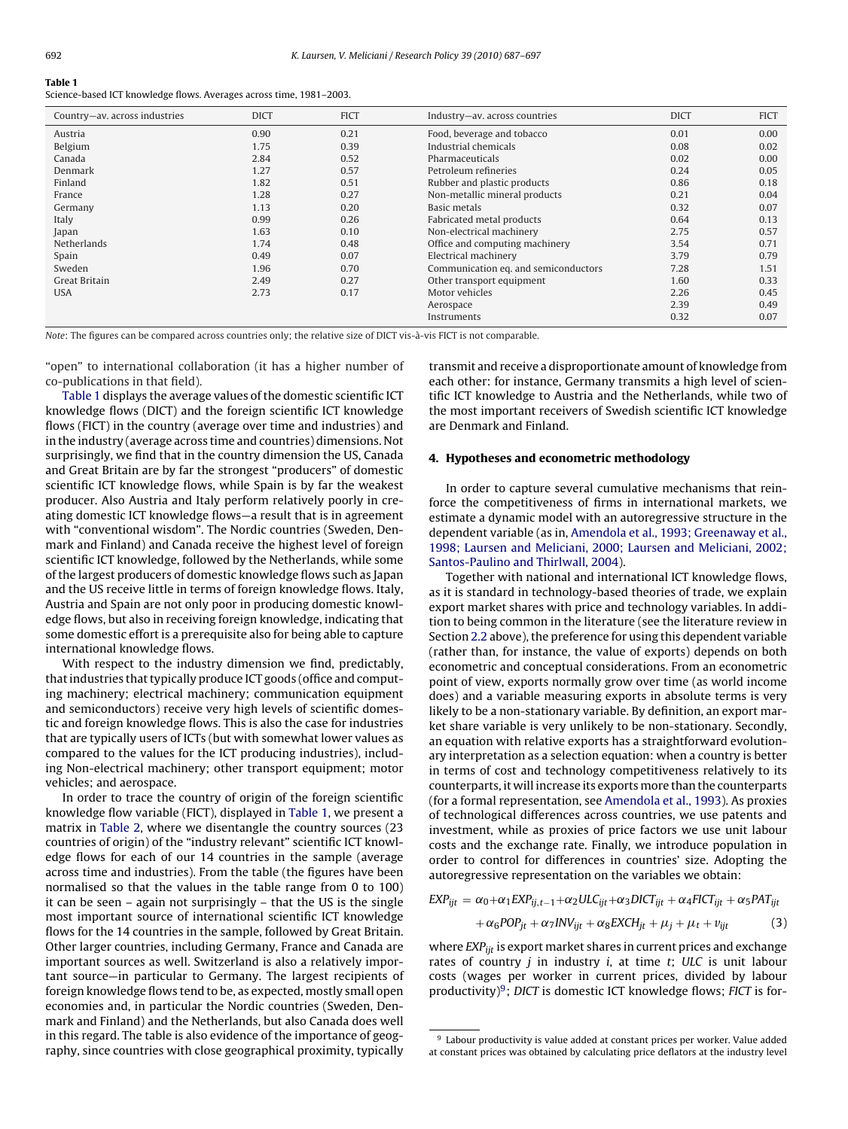# <span id="page-5-0"></span>**Table 1**

Science-based ICT knowledge flows. Averages across time, 1981–2003.

| Country-av. across industries | <b>DICT</b> | <b>FICT</b> | Industry-av. across countries        | <b>DICT</b> | <b>FICT</b> |
|-------------------------------|-------------|-------------|--------------------------------------|-------------|-------------|
| Austria                       | 0.90        | 0.21        | Food, beverage and tobacco           | 0.01        | 0.00        |
| Belgium                       | 1.75        | 0.39        | Industrial chemicals                 | 0.08        | 0.02        |
| Canada                        | 2.84        | 0.52        | Pharmaceuticals                      | 0.02        | 0.00        |
| Denmark                       | 1.27        | 0.57        | Petroleum refineries                 | 0.24        | 0.05        |
| Finland                       | 1.82        | 0.51        | Rubber and plastic products          | 0.86        | 0.18        |
| France                        | 1.28        | 0.27        | Non-metallic mineral products        | 0.21        | 0.04        |
| Germany                       | 1.13        | 0.20        | Basic metals                         | 0.32        | 0.07        |
| Italy                         | 0.99        | 0.26        | Fabricated metal products            | 0.64        | 0.13        |
| Japan                         | 1.63        | 0.10        | Non-electrical machinery             | 2.75        | 0.57        |
| Netherlands                   | 1.74        | 0.48        | Office and computing machinery       | 3.54        | 0.71        |
| Spain                         | 0.49        | 0.07        | Electrical machinery                 | 3.79        | 0.79        |
| Sweden                        | 1.96        | 0.70        | Communication eq. and semiconductors | 7.28        | 1.51        |
| Great Britain                 | 2.49        | 0.27        | Other transport equipment            | 1.60        | 0.33        |
| <b>USA</b>                    | 2.73        | 0.17        | Motor vehicles                       | 2.26        | 0.45        |
|                               |             |             | Aerospace                            | 2.39        | 0.49        |
|                               |             |             | Instruments                          | 0.32        | 0.07        |

Note: The figures can be compared across countries only; the relative size of DICT vis-à-vis FICT is not comparable.

"open" to international collaboration (it has a higher number of co-publications in that field).

Table 1 displays the average values of the domestic scientific ICT knowledge flows (DICT) and the foreign scientific ICT knowledge flows (FICT) in the country (average over time and industries) and in the industry (average across time and countries) dimensions. Not surprisingly, we find that in the country dimension the US, Canada and Great Britain are by far the strongest "producers" of domestic scientific ICT knowledge flows, while Spain is by far the weakest producer. Also Austria and Italy perform relatively poorly in creating domestic ICT knowledge flows—a result that is in agreement with "conventional wisdom". The Nordic countries (Sweden, Denmark and Finland) and Canada receive the highest level of foreign scientific ICT knowledge, followed by the Netherlands, while some of the largest producers of domestic knowledge flows such as Japan and the US receive little in terms of foreign knowledge flows. Italy, Austria and Spain are not only poor in producing domestic knowledge flows, but also in receiving foreign knowledge, indicating that some domestic effort is a prerequisite also for being able to capture international knowledge flows.

With respect to the industry dimension we find, predictably, that industries that typically produce ICT goods (office and computing machinery; electrical machinery; communication equipment and semiconductors) receive very high levels of scientific domestic and foreign knowledge flows. This is also the case for industries that are typically users of ICTs (but with somewhat lower values as compared to the values for the ICT producing industries), including Non-electrical machinery; other transport equipment; motor vehicles; and aerospace.

In order to trace the country of origin of the foreign scientific knowledge flow variable (FICT), displayed in Table 1, we present a matrix in [Table 2,](#page-6-0) where we disentangle the country sources (23 countries of origin) of the "industry relevant" scientific ICT knowledge flows for each of our 14 countries in the sample (average across time and industries). From the table (the figures have been normalised so that the values in the table range from 0 to 100) it can be seen – again not surprisingly – that the US is the single most important source of international scientific ICT knowledge flows for the 14 countries in the sample, followed by Great Britain. Other larger countries, including Germany, France and Canada are important sources as well. Switzerland is also a relatively important source—in particular to Germany. The largest recipients of foreign knowledge flows tend to be, as expected, mostly small open economies and, in particular the Nordic countries (Sweden, Denmark and Finland) and the Netherlands, but also Canada does well in this regard. The table is also evidence of the importance of geography, since countries with close geographical proximity, typically

transmit and receive a disproportionate amount of knowledge from each other: for instance, Germany transmits a high level of scientific ICT knowledge to Austria and the Netherlands, while two of the most important receivers of Swedish scientific ICT knowledge are Denmark and Finland.

#### **4. Hypotheses and econometric methodology**

In order to capture several cumulative mechanisms that reinforce the competitiveness of firms in international markets, we estimate a dynamic model with an autoregressive structure in the dependent variable (as in, [Amendola et al., 1993; Greenaway et al.,](#page-9-0) [1998; Laursen and Meliciani, 2000; Laursen and Meliciani, 2002;](#page-9-0) [Santos-Paulino and Thirlwall, 2004\).](#page-9-0)

Together with national and international ICT knowledge flows, as it is standard in technology-based theories of trade, we explain export market shares with price and technology variables. In addition to being common in the literature (see the literature review in Section [2.2](#page-2-0) above), the preference for using this dependent variable (rather than, for instance, the value of exports) depends on both econometric and conceptual considerations. From an econometric point of view, exports normally grow over time (as world income does) and a variable measuring exports in absolute terms is very likely to be a non-stationary variable. By definition, an export market share variable is very unlikely to be non-stationary. Secondly, an equation with relative exports has a straightforward evolutionary interpretation as a selection equation: when a country is better in terms of cost and technology competitiveness relatively to its counterparts, it will increase its exports more than the counterparts (for a formal representation, see [Amendola et al., 1993\).](#page-9-0) As proxies of technological differences across countries, we use patents and investment, while as proxies of price factors we use unit labour costs and the exchange rate. Finally, we introduce population in order to control for differences in countries' size. Adopting the autoregressive representation on the variables we obtain:

$$
EXP_{ijt} = \alpha_0 + \alpha_1 EXP_{ij,t-1} + \alpha_2 ULC_{ijt} + \alpha_3 DICT_{ijt} + \alpha_4 FICT_{ijt} + \alpha_5 PAT_{ijt} + \alpha_6 POP_{jt} + \alpha_7 INV_{ijt} + \alpha_8 EXCH_{jt} + \mu_j + \mu_t + \nu_{ijt}
$$
(3)

where  $EXP_{iit}$  is export market shares in current prices and exchange rates of country  $j$  in industry  $i$ , at time  $t$ ; ULC is unit labour costs (wages per worker in current prices, divided by labour productivity) $9$ ; DICT is domestic ICT knowledge flows; FICT is for-

 $^9$  Labour productivity is value added at constant prices per worker. Value added at constant prices was obtained by calculating price deflators at the industry level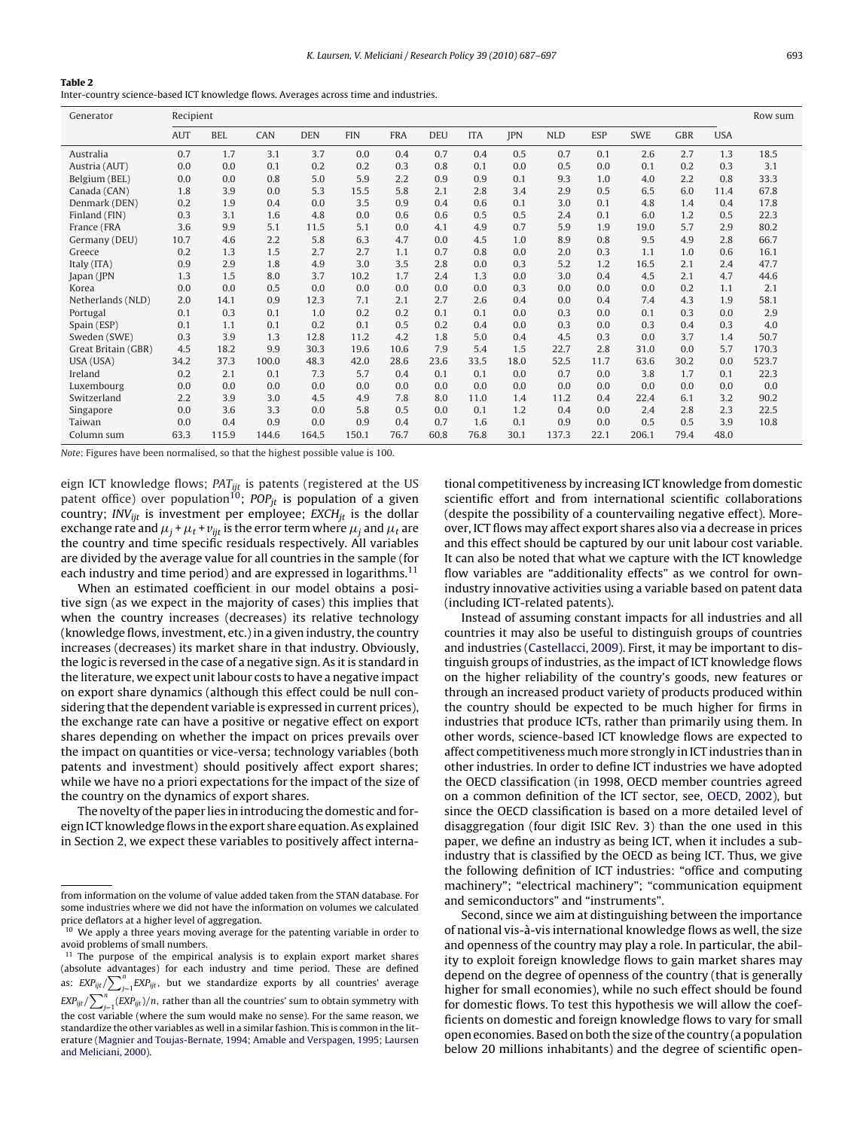## <span id="page-6-0"></span>**Table 2**

Inter-country science-based ICT knowledge flows. Averages across time and industries.

| Generator           | Recipient  |            |       |            |            |            |            |            |            |            | Row sum    |       |            |            |       |
|---------------------|------------|------------|-------|------------|------------|------------|------------|------------|------------|------------|------------|-------|------------|------------|-------|
|                     | <b>AUT</b> | <b>BEL</b> | CAN   | <b>DEN</b> | <b>FIN</b> | <b>FRA</b> | <b>DEU</b> | <b>ITA</b> | <b>JPN</b> | <b>NLD</b> | <b>ESP</b> | SWE   | <b>GBR</b> | <b>USA</b> |       |
| Australia           | 0.7        | 1.7        | 3.1   | 3.7        | 0.0        | 0.4        | 0.7        | 0.4        | 0.5        | 0.7        | 0.1        | 2.6   | 2.7        | 1.3        | 18.5  |
| Austria (AUT)       | 0.0        | 0.0        | 0.1   | 0.2        | 0.2        | 0.3        | 0.8        | 0.1        | 0.0        | 0.5        | 0.0        | 0.1   | 0.2        | 0.3        | 3.1   |
| Belgium (BEL)       | 0.0        | 0.0        | 0.8   | 5.0        | 5.9        | 2.2        | 0.9        | 0.9        | 0.1        | 9.3        | 1.0        | 4.0   | 2.2        | 0.8        | 33.3  |
| Canada (CAN)        | 1.8        | 3.9        | 0.0   | 5.3        | 15.5       | 5.8        | 2.1        | 2.8        | 3.4        | 2.9        | 0.5        | 6.5   | 6.0        | 11.4       | 67.8  |
| Denmark (DEN)       | 0.2        | 1.9        | 0.4   | 0.0        | 3.5        | 0.9        | 0.4        | 0.6        | 0.1        | 3.0        | 0.1        | 4.8   | 1.4        | 0.4        | 17.8  |
| Finland (FIN)       | 0.3        | 3.1        | 1.6   | 4.8        | 0.0        | 0.6        | 0.6        | 0.5        | 0.5        | 2.4        | 0.1        | 6.0   | 1.2        | 0.5        | 22.3  |
| France (FRA         | 3.6        | 9.9        | 5.1   | 11.5       | 5.1        | 0.0        | 4.1        | 4.9        | 0.7        | 5.9        | 1.9        | 19.0  | 5.7        | 2.9        | 80.2  |
| Germany (DEU)       | 10.7       | 4.6        | 2.2   | 5.8        | 6.3        | 4.7        | 0.0        | 4.5        | 1.0        | 8.9        | 0.8        | 9.5   | 4.9        | 2.8        | 66.7  |
| Greece              | 0.2        | 1.3        | 1.5   | 2.7        | 2.7        | 1.1        | 0.7        | 0.8        | 0.0        | 2.0        | 0.3        | 1.1   | 1.0        | 0.6        | 16.1  |
| Italy (ITA)         | 0.9        | 2.9        | 1.8   | 4.9        | 3.0        | 3.5        | 2.8        | 0.0        | 0.3        | 5.2        | 1.2        | 16.5  | 2.1        | 2.4        | 47.7  |
| Japan (JPN          | 1.3        | 1.5        | 8.0   | 3.7        | 10.2       | 1.7        | 2.4        | 1.3        | 0.0        | 3.0        | 0.4        | 4.5   | 2.1        | 4.7        | 44.6  |
| Korea               | 0.0        | 0.0        | 0.5   | 0.0        | 0.0        | 0.0        | 0.0        | 0.0        | 0.3        | 0.0        | 0.0        | 0.0   | 0.2        | 1.1        | 2.1   |
| Netherlands (NLD)   | 2.0        | 14.1       | 0.9   | 12.3       | 7.1        | 2.1        | 2.7        | 2.6        | 0.4        | 0.0        | 0.4        | 7.4   | 4.3        | 1.9        | 58.1  |
| Portugal            | 0.1        | 0.3        | 0.1   | 1.0        | 0.2        | 0.2        | 0.1        | 0.1        | 0.0        | 0.3        | 0.0        | 0.1   | 0.3        | 0.0        | 2.9   |
| Spain (ESP)         | 0.1        | 1.1        | 0.1   | 0.2        | 0.1        | 0.5        | 0.2        | 0.4        | 0.0        | 0.3        | 0.0        | 0.3   | 0.4        | 0.3        | 4.0   |
| Sweden (SWE)        | 0.3        | 3.9        | 1.3   | 12.8       | 11.2       | 4.2        | 1.8        | 5.0        | 0.4        | 4.5        | 0.3        | 0.0   | 3.7        | 1.4        | 50.7  |
| Great Britain (GBR) | 4.5        | 18.2       | 9.9   | 30.3       | 19.6       | 10.6       | 7.9        | 5.4        | 1.5        | 22.7       | 2.8        | 31.0  | 0.0        | 5.7        | 170.3 |
| USA (USA)           | 34.2       | 37.3       | 100.0 | 48.3       | 42.0       | 28.6       | 23.6       | 33.5       | 18.0       | 52.5       | 11.7       | 63.6  | 30.2       | 0.0        | 523.7 |
| Ireland             | 0.2        | 2.1        | 0.1   | 7.3        | 5.7        | 0.4        | 0.1        | 0.1        | 0.0        | 0.7        | 0.0        | 3.8   | 1.7        | 0.1        | 22.3  |
| Luxembourg          | 0.0        | 0.0        | 0.0   | 0.0        | 0.0        | 0.0        | 0.0        | 0.0        | 0.0        | 0.0        | 0.0        | 0.0   | 0.0        | 0.0        | 0.0   |
| Switzerland         | 2.2        | 3.9        | 3.0   | 4.5        | 4.9        | 7.8        | 8.0        | 11.0       | 1.4        | 11.2       | 0.4        | 22.4  | 6.1        | 3.2        | 90.2  |
| Singapore           | 0.0        | 3.6        | 3.3   | 0.0        | 5.8        | 0.5        | 0.0        | 0.1        | 1.2        | 0.4        | 0.0        | 2.4   | 2.8        | 2.3        | 22.5  |
| Taiwan              | 0.0        | 0.4        | 0.9   | 0.0        | 0.9        | 0.4        | 0.7        | 1.6        | 0.1        | 0.9        | 0.0        | 0.5   | 0.5        | 3.9        | 10.8  |
| Column sum          | 63.3       | 115.9      | 144.6 | 164.5      | 150.1      | 76.7       | 60.8       | 76.8       | 30.1       | 137.3      | 22.1       | 206.1 | 79.4       | 48.0       |       |

Note: Figures have been normalised, so that the highest possible value is 100.

eign ICT knowledge flows;  $PAT_{ijt}$  is patents (registered at the US patent office) over population<sup>10</sup>; POP<sub>it</sub> is population of a given country; INV<sub>iit</sub> is investment per employee;  $EXCH_{it}$  is the dollar exchange rate and  $\mu_{j}$  +  $\mu_{t}$  +  $v_{ijt}$  is the error term where  $\mu_{j}$  and  $\mu_{t}$  are the country and time specific residuals respectively. All variables are divided by the average value for all countries in the sample (for each industry and time period) and are expressed in logarithms.<sup>11</sup>

When an estimated coefficient in our model obtains a positive sign (as we expect in the majority of cases) this implies that when the country increases (decreases) its relative technology (knowledge flows, investment, etc.) in a given industry, the country increases (decreases) its market share in that industry. Obviously, the logic is reversed in the case of a negative sign. As it is standard in the literature, we expect unit labour costs to have a negative impact on export share dynamics (although this effect could be null considering that the dependent variable is expressed in current prices), the exchange rate can have a positive or negative effect on export shares depending on whether the impact on prices prevails over the impact on quantities or vice-versa; technology variables (both patents and investment) should positively affect export shares; while we have no a priori expectations for the impact of the size of the country on the dynamics of export shares.

The novelty of the paper lies in introducing the domestic and foreign ICT knowledge flows in the export share equation. As explained in Section [2, w](#page-1-0)e expect these variables to positively affect international competitiveness by increasing ICT knowledge from domestic scientific effort and from international scientific collaborations (despite the possibility of a countervailing negative effect). Moreover, ICT flows may affect export shares also via a decrease in prices and this effect should be captured by our unit labour cost variable. It can also be noted that what we capture with the ICT knowledge flow variables are "additionality effects" as we control for ownindustry innovative activities using a variable based on patent data (including ICT-related patents).

Instead of assuming constant impacts for all industries and all countries it may also be useful to distinguish groups of countries and industries [\(Castellacci, 2009\).](#page-9-0) First, it may be important to distinguish groups of industries, as the impact of ICT knowledge flows on the higher reliability of the country's goods, new features or through an increased product variety of products produced within the country should be expected to be much higher for firms in industries that produce ICTs, rather than primarily using them. In other words, science-based ICT knowledge flows are expected to affect competitiveness much more strongly in ICT industries than in other industries. In order to define ICT industries we have adopted the OECD classification (in 1998, OECD member countries agreed on a common definition of the ICT sector, see, [OECD, 2002\),](#page-10-0) but since the OECD classification is based on a more detailed level of disaggregation (four digit ISIC Rev. 3) than the one used in this paper, we define an industry as being ICT, when it includes a subindustry that is classified by the OECD as being ICT. Thus, we give the following definition of ICT industries: "office and computing machinery"; "electrical machinery"; "communication equipment and semiconductors" and "instruments".

Second, since we aim at distinguishing between the importance of national vis-à-vis international knowledge flows as well, the size and openness of the country may play a role. In particular, the ability to exploit foreign knowledge flows to gain market shares may depend on the degree of openness of the country (that is generally higher for small economies), while no such effect should be found for domestic flows. To test this hypothesis we will allow the coefficients on domestic and foreign knowledge flows to vary for small open economies. Based on both the size of the country (a population below 20 millions inhabitants) and the degree of scientific open-

from information on the volume of value added taken from the STAN database. For some industries where we did not have the information on volumes we calculated price deflators at a higher level of aggregation.

<sup>&</sup>lt;sup>10</sup> We apply a three years moving average for the patenting variable in order to avoid problems of small numbers.

 $11$  The purpose of the empirical analysis is to explain export market shares (absolute advantages) for each industry and time period. These are defined as:  $EXP_{ijt}/\sum_{j=1}^{n} EXP_{ijt}$ , but we standardize exports by all countries' average  $\exp_{\textit{ijt}} / \sum_{i=1}^{n}(\textit{EXP}_{\textit{ijt}}) / n,$  rather than all the countries' sum to obtain symmetry with the cost variable (where the sum would make no sense). For the same reason, we the cost variable (where the sum would make no sense). For the same reason, we

standardize the other variables as well in a similar fashion. This is common in the literature [\(Magnier and Toujas-Bernate, 1994; Amable and Verspagen, 1995; Laursen](#page-10-0) [and Meliciani, 2000\).](#page-10-0)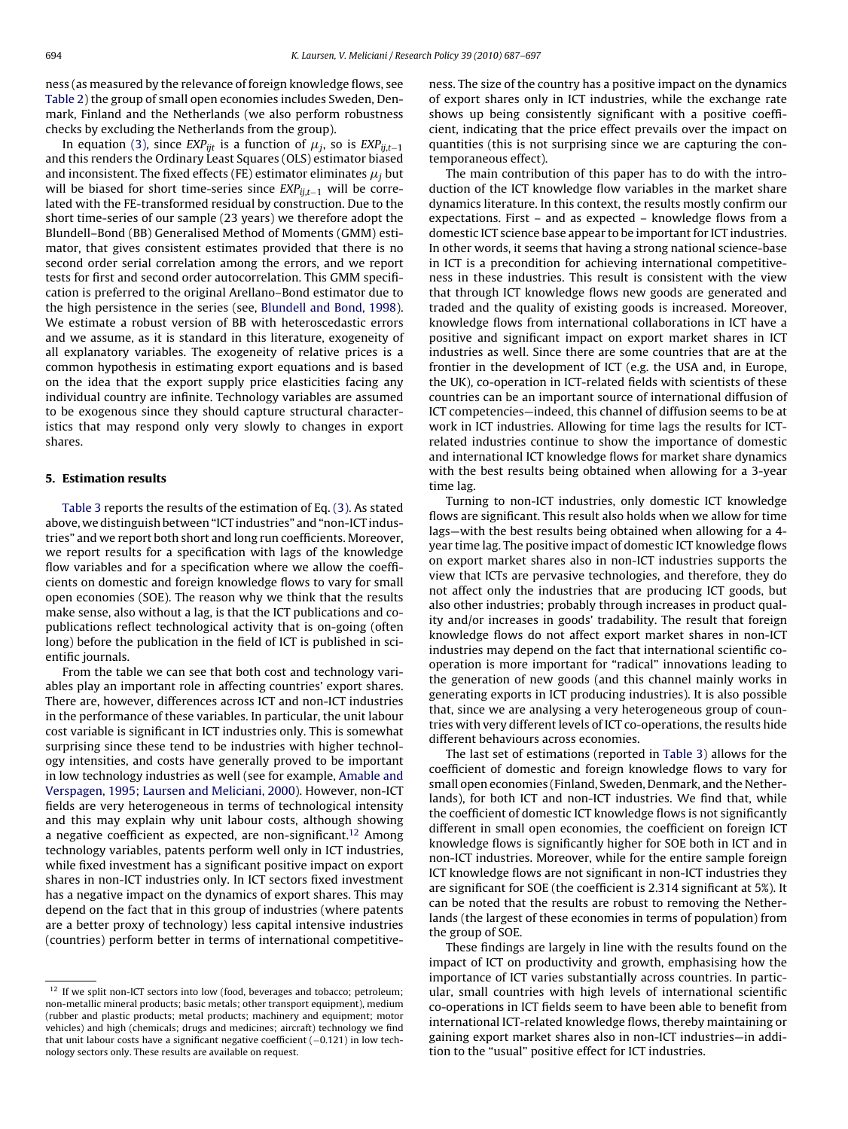<span id="page-7-0"></span>ness (as measured by the relevance of foreign knowledge flows, see [Table 2\) t](#page-6-0)he group of small open economies includes Sweden, Denmark, Finland and the Netherlands (we also perform robustness checks by excluding the Netherlands from the group).

In equation [\(3\),](#page-5-0) since  $EXP_{ijt}$  is a function of  $\mu_j$ , so is  $EXP_{ij,t-1}$ and this renders the Ordinary Least Squares (OLS) estimator biased and inconsistent. The fixed effects (FE) estimator eliminates  $\mu_j$  but will be biased for short time-series since  $EXP_{ii,t-1}$  will be correlated with the FE-transformed residual by construction. Due to the short time-series of our sample (23 years) we therefore adopt the Blundell–Bond (BB) Generalised Method of Moments (GMM) estimator, that gives consistent estimates provided that there is no second order serial correlation among the errors, and we report tests for first and second order autocorrelation. This GMM specification is preferred to the original Arellano–Bond estimator due to the high persistence in the series (see, [Blundell and Bond, 1998\).](#page-9-0) We estimate a robust version of BB with heteroscedastic errors and we assume, as it is standard in this literature, exogeneity of all explanatory variables. The exogeneity of relative prices is a common hypothesis in estimating export equations and is based on the idea that the export supply price elasticities facing any individual country are infinite. Technology variables are assumed to be exogenous since they should capture structural characteristics that may respond only very slowly to changes in export shares.

# **5. Estimation results**

[Table 3](#page-8-0) reports the results of the estimation of Eq. [\(3\). A](#page-5-0)s stated above, we distinguish between "ICT industries" and "non-ICT industries" and we report both short and long run coefficients. Moreover, we report results for a specification with lags of the knowledge flow variables and for a specification where we allow the coefficients on domestic and foreign knowledge flows to vary for small open economies (SOE). The reason why we think that the results make sense, also without a lag, is that the ICT publications and copublications reflect technological activity that is on-going (often long) before the publication in the field of ICT is published in scientific journals.

From the table we can see that both cost and technology variables play an important role in affecting countries' export shares. There are, however, differences across ICT and non-ICT industries in the performance of these variables. In particular, the unit labour cost variable is significant in ICT industries only. This is somewhat surprising since these tend to be industries with higher technology intensities, and costs have generally proved to be important in low technology industries as well (see for example, [Amable and](#page-9-0) [Verspagen, 1995; Laursen and Meliciani, 2000\).](#page-9-0) However, non-ICT fields are very heterogeneous in terms of technological intensity and this may explain why unit labour costs, although showing a negative coefficient as expected, are non-significant.<sup>12</sup> Among technology variables, patents perform well only in ICT industries, while fixed investment has a significant positive impact on export shares in non-ICT industries only. In ICT sectors fixed investment has a negative impact on the dynamics of export shares. This may depend on the fact that in this group of industries (where patents are a better proxy of technology) less capital intensive industries (countries) perform better in terms of international competitiveness. The size of the country has a positive impact on the dynamics of export shares only in ICT industries, while the exchange rate shows up being consistently significant with a positive coefficient, indicating that the price effect prevails over the impact on quantities (this is not surprising since we are capturing the contemporaneous effect).

The main contribution of this paper has to do with the introduction of the ICT knowledge flow variables in the market share dynamics literature. In this context, the results mostly confirm our expectations. First – and as expected – knowledge flows from a domestic ICT science base appear to be important for ICT industries. In other words, it seems that having a strong national science-base in ICT is a precondition for achieving international competitiveness in these industries. This result is consistent with the view that through ICT knowledge flows new goods are generated and traded and the quality of existing goods is increased. Moreover, knowledge flows from international collaborations in ICT have a positive and significant impact on export market shares in ICT industries as well. Since there are some countries that are at the frontier in the development of ICT (e.g. the USA and, in Europe, the UK), co-operation in ICT-related fields with scientists of these countries can be an important source of international diffusion of ICT competencies—indeed, this channel of diffusion seems to be at work in ICT industries. Allowing for time lags the results for ICTrelated industries continue to show the importance of domestic and international ICT knowledge flows for market share dynamics with the best results being obtained when allowing for a 3-year time lag.

Turning to non-ICT industries, only domestic ICT knowledge flows are significant. This result also holds when we allow for time lags—with the best results being obtained when allowing for a 4 year time lag. The positive impact of domestic ICT knowledge flows on export market shares also in non-ICT industries supports the view that ICTs are pervasive technologies, and therefore, they do not affect only the industries that are producing ICT goods, but also other industries; probably through increases in product quality and/or increases in goods' tradability. The result that foreign knowledge flows do not affect export market shares in non-ICT industries may depend on the fact that international scientific cooperation is more important for "radical" innovations leading to the generation of new goods (and this channel mainly works in generating exports in ICT producing industries). It is also possible that, since we are analysing a very heterogeneous group of countries with very different levels of ICT co-operations, the results hide different behaviours across economies.

The last set of estimations (reported in [Table 3\)](#page-8-0) allows for the coefficient of domestic and foreign knowledge flows to vary for small open economies (Finland, Sweden, Denmark, and the Netherlands), for both ICT and non-ICT industries. We find that, while the coefficient of domestic ICT knowledge flows is not significantly different in small open economies, the coefficient on foreign ICT knowledge flows is significantly higher for SOE both in ICT and in non-ICT industries. Moreover, while for the entire sample foreign ICT knowledge flows are not significant in non-ICT industries they are significant for SOE (the coefficient is 2.314 significant at 5%). It can be noted that the results are robust to removing the Netherlands (the largest of these economies in terms of population) from the group of SOE.

These findings are largely in line with the results found on the impact of ICT on productivity and growth, emphasising how the importance of ICT varies substantially across countries. In particular, small countries with high levels of international scientific co-operations in ICT fields seem to have been able to benefit from international ICT-related knowledge flows, thereby maintaining or gaining export market shares also in non-ICT industries—in addition to the "usual" positive effect for ICT industries.

 $12$  If we split non-ICT sectors into low (food, beverages and tobacco; petroleum; non-metallic mineral products; basic metals; other transport equipment), medium (rubber and plastic products; metal products; machinery and equipment; motor vehicles) and high (chemicals; drugs and medicines; aircraft) technology we find that unit labour costs have a significant negative coefficient (−0.121) in low technology sectors only. These results are available on request.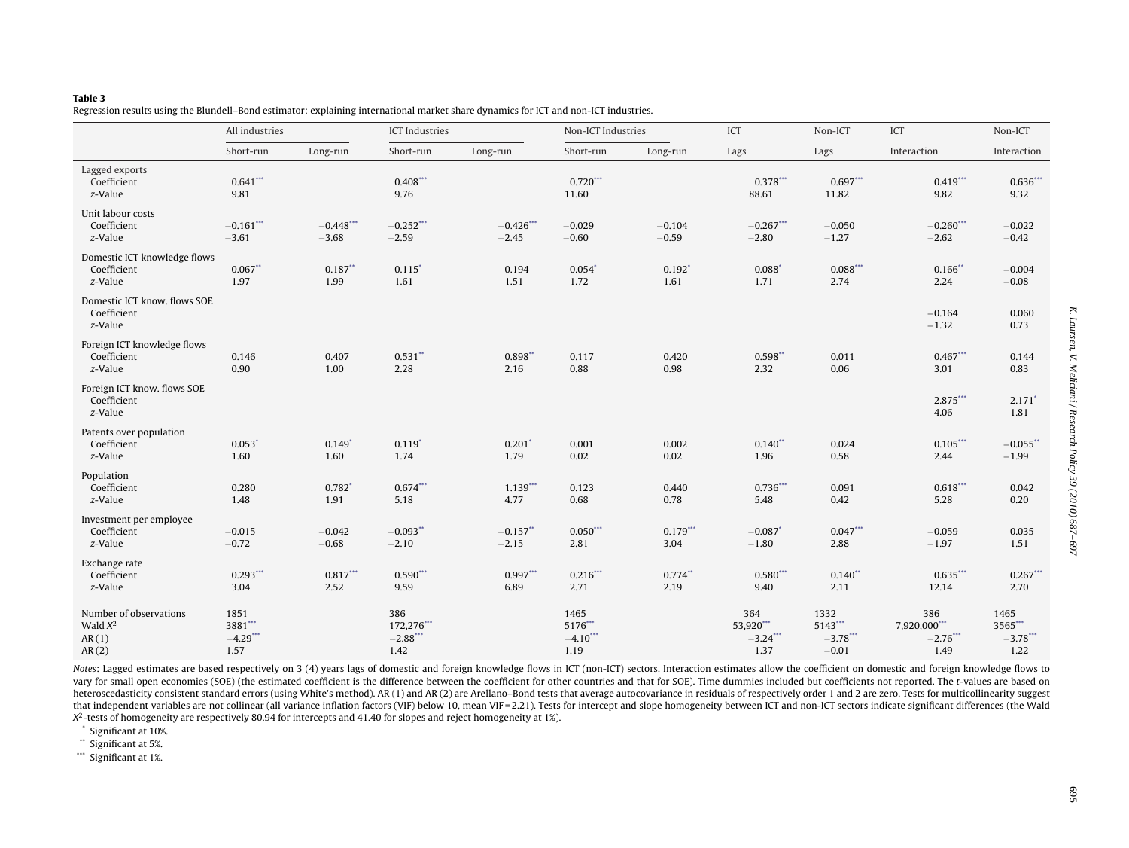# <span id="page-8-0"></span>**Table 3**

Regression results using the Blundell–Bond estimator: explaining international market share dynamics for ICT and non-ICT industries.

|                                                        | All industries                         |                              | <b>ICT</b> Industries                   |                        | Non-ICT Industries                    |                     | ICT                                     | Non-ICT                                   | ICT                                        | Non-ICT                                |
|--------------------------------------------------------|----------------------------------------|------------------------------|-----------------------------------------|------------------------|---------------------------------------|---------------------|-----------------------------------------|-------------------------------------------|--------------------------------------------|----------------------------------------|
|                                                        | Short-run                              | Long-run                     | Short-run                               | Long-run               | Short-run                             | Long-run            | Lags                                    | Lags                                      | Interaction                                | Interaction                            |
| Lagged exports<br>Coefficient<br>z-Value               | $0.641***$<br>9.81                     |                              | $0.408***$<br>9.76                      |                        | $0.720***$<br>11.60                   |                     | $0.378***$<br>88.61                     | $0.697***$<br>11.82                       | $0.419***$<br>9.82                         | $0.636***$<br>9.32                     |
| Unit labour costs<br>Coefficient<br>z-Value            | $-0.161$ ***<br>$-3.61$                | $-0.448***$<br>$-3.68$       | $-0.252***$<br>$-2.59$                  | $-0.426***$<br>$-2.45$ | $-0.029$<br>$-0.60$                   | $-0.104$<br>$-0.59$ | $-0.267***$<br>$-2.80$                  | $-0.050$<br>$-1.27$                       | $-0.260$ ***<br>$-2.62$                    | $-0.022$<br>$-0.42$                    |
| Domestic ICT knowledge flows<br>Coefficient<br>z-Value | $0.067**$<br>1.97                      | $0.187**$<br>1.99            | $0.115$ <sup>*</sup><br>1.61            | 0.194<br>1.51          | $0.054*$<br>1.72                      | $0.192*$<br>1.61    | $0.088*$<br>1.71                        | $0.088***$<br>2.74                        | $0.166$ *<br>2.24                          | $-0.004$<br>$-0.08$                    |
| Domestic ICT know. flows SOE<br>Coefficient<br>z-Value |                                        |                              |                                         |                        |                                       |                     |                                         |                                           | $-0.164$<br>$-1.32$                        | 0.060<br>0.73                          |
| Foreign ICT knowledge flows<br>Coefficient<br>z-Value  | 0.146<br>0.90                          | 0.407<br>1.00                | $0.531$ **<br>2.28                      | $0.898**$<br>2.16      | 0.117<br>0.88                         | 0.420<br>0.98       | $0.598**$<br>2.32                       | 0.011<br>0.06                             | $0.467***$<br>3.01                         | 0.144<br>0.83                          |
| Foreign ICT know. flows SOE<br>Coefficient<br>z-Value  |                                        |                              |                                         |                        |                                       |                     |                                         |                                           | 2.875***<br>4.06                           | $2.171$ <sup>*</sup><br>1.81           |
| Patents over population<br>Coefficient<br>z-Value      | $0.053*$<br>1.60                       | $0.149*$<br>1.60             | $0.119*$<br>1.74                        | $0.201$ *<br>1.79      | 0.001<br>0.02                         | 0.002<br>0.02       | $0.140**$<br>1.96                       | 0.024<br>0.58                             | $0.105***$<br>2.44                         | $-0.055$ **<br>$-1.99$                 |
| Population<br>Coefficient<br>z-Value                   | 0.280<br>1.48                          | $0.782$ <sup>*</sup><br>1.91 | $0.674$ ***<br>5.18                     | $1.139***$<br>4.77     | 0.123<br>0.68                         | 0.440<br>0.78       | $0.736***$<br>5.48                      | 0.091<br>0.42                             | $0.618***$<br>5.28                         | 0.042<br>0.20                          |
| Investment per employee<br>Coefficient<br>z-Value      | $-0.015$<br>$-0.72$                    | $-0.042$<br>$-0.68$          | $-0.093$ **<br>$-2.10$                  | $-0.157$ **<br>$-2.15$ | $0.050***$<br>2.81                    | $0.179***$<br>3.04  | $-0.087$ <sup>*</sup><br>$-1.80$        | $0.047***$<br>2.88                        | $-0.059$<br>$-1.97$                        | 0.035<br>1.51                          |
| Exchange rate<br>Coefficient<br>z-Value                | $0.293***$<br>3.04                     | $0.817***$<br>2.52           | $0.590***$<br>9.59                      | $0.997***$<br>6.89     | $0.216***$<br>2.71                    | $0.774**$<br>2.19   | $0.580***$<br>9.40                      | $0.140**$<br>2.11                         | $0.635***$<br>12.14                        | $0.267***$<br>2.70                     |
| Number of observations<br>Wald $X^2$<br>AR(1)<br>AR(2) | 1851<br>3881***<br>$-4.29$ ***<br>1.57 |                              | 386<br>172,276***<br>$-2.88$ **<br>1.42 |                        | 1465<br>5176***<br>$-4.10$ **<br>1.19 |                     | 364<br>53,920***<br>$-3.24$ ***<br>1.37 | 1332<br>5143***<br>$-3.78$ ***<br>$-0.01$ | 386<br>7,920,000***<br>$-2.76$ ***<br>1.49 | 1465<br>3565***<br>$-3.78$ ***<br>1.22 |

Notes: Lagged estimates are based respectively on 3 (4) years lags of domestic and foreign knowledge flows in ICT (non-ICT) sectors. Interaction estimates allow the coefficient on domestic and foreign knowledge flows to vary for small open economies (SOE) (the estimated coefficient is the difference between the coefficient for other countries and that for SOE). Time dummies included but coefficients not reported. The t-values are based on heteroscedasticity consistent standard errors (using White's method). AR (1) and AR (2) are Arellano-Bond tests that average autocovariance in residuals of respectively order 1 and 2 are zero. Tests for multicollinearity s that independent variables are not collinear (all variance inflation factors (VIF) below 10, mean VIF=2.21). Tests for intercept and slope homogeneity between ICT and non-ICT sectors indicate significant differences (the W  $X^2$ -tests of homogeneity are respectively 80.94 for intercepts and 41.40 for slopes and reject homogeneity at 1%).

Significant at 10%.

\*\* Significant at 5%.

\*\*\* Significant at 1%.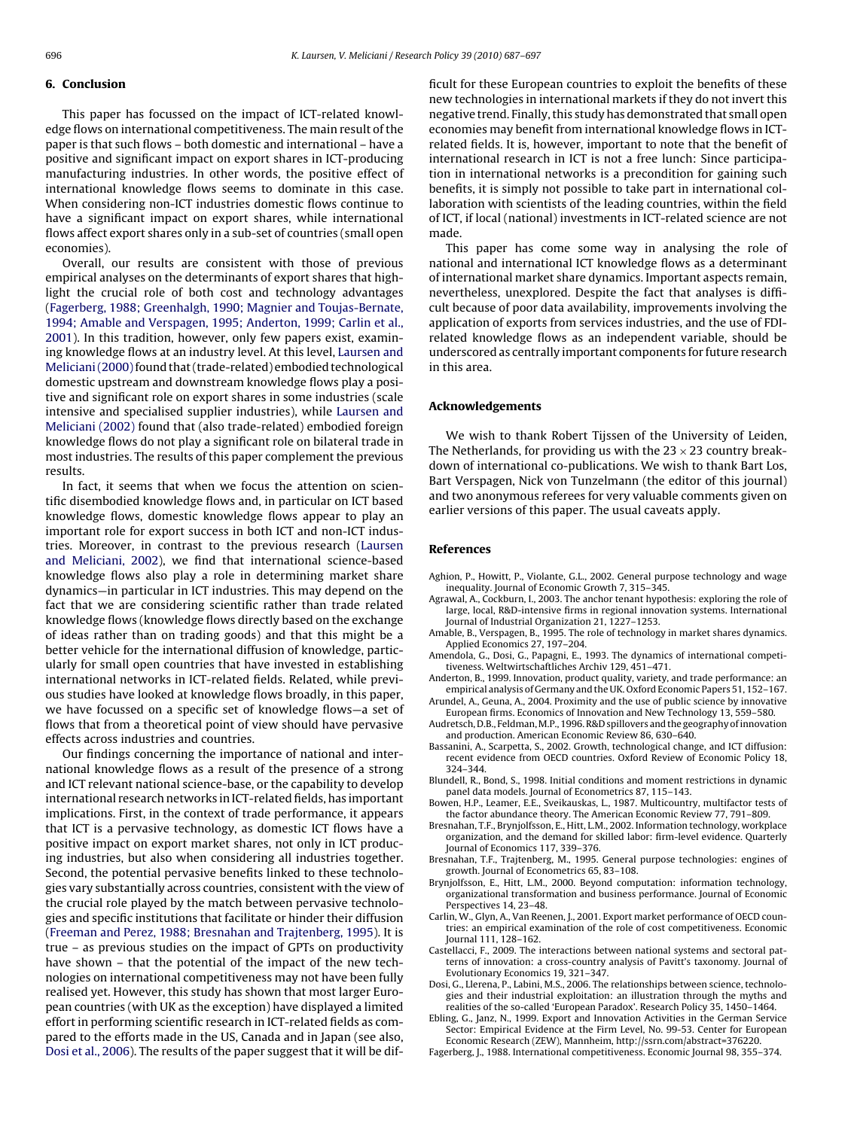### <span id="page-9-0"></span>**6. Conclusion**

This paper has focussed on the impact of ICT-related knowledge flows on international competitiveness. The main result of the paper is that such flows – both domestic and international – have a positive and significant impact on export shares in ICT-producing manufacturing industries. In other words, the positive effect of international knowledge flows seems to dominate in this case. When considering non-ICT industries domestic flows continue to have a significant impact on export shares, while international flows affect export shares only in a sub-set of countries (small open economies).

Overall, our results are consistent with those of previous empirical analyses on the determinants of export shares that highlight the crucial role of both cost and technology advantages (Fagerberg, 1988; Greenhalgh, 1990; Magnier and Toujas-Bernate, 1994; Amable and Verspagen, 1995; Anderton, 1999; Carlin et al., 2001). In this tradition, however, only few papers exist, examining knowledge flows at an industry level. At this level, [Laursen and](#page-10-0) Meliciani (2000) found that (trade-related) embodied technological domestic upstream and downstream knowledge flows play a positive and significant role on export shares in some industries (scale intensive and specialised supplier industries), while [Laursen and](#page-10-0) [Meliciani \(2002\)](#page-10-0) found that (also trade-related) embodied foreign knowledge flows do not play a significant role on bilateral trade in most industries. The results of this paper complement the previous results.

In fact, it seems that when we focus the attention on scientific disembodied knowledge flows and, in particular on ICT based knowledge flows, domestic knowledge flows appear to play an important role for export success in both ICT and non-ICT industries. Moreover, in contrast to the previous research ([Laursen](#page-10-0) [and Meliciani, 2002\),](#page-10-0) we find that international science-based knowledge flows also play a role in determining market share dynamics—in particular in ICT industries. This may depend on the fact that we are considering scientific rather than trade related knowledge flows (knowledge flows directly based on the exchange of ideas rather than on trading goods) and that this might be a better vehicle for the international diffusion of knowledge, particularly for small open countries that have invested in establishing international networks in ICT-related fields. Related, while previous studies have looked at knowledge flows broadly, in this paper, we have focussed on a specific set of knowledge flows—a set of flows that from a theoretical point of view should have pervasive effects across industries and countries.

Our findings concerning the importance of national and international knowledge flows as a result of the presence of a strong and ICT relevant national science-base, or the capability to develop international research networks in ICT-related fields, has important implications. First, in the context of trade performance, it appears that ICT is a pervasive technology, as domestic ICT flows have a positive impact on export market shares, not only in ICT producing industries, but also when considering all industries together. Second, the potential pervasive benefits linked to these technologies vary substantially across countries, consistent with the view of the crucial role played by the match between pervasive technologies and specific institutions that facilitate or hinder their diffusion ([Freeman and Perez, 1988; Bresnahan and Trajtenberg, 1995\).](#page-10-0) It is true – as previous studies on the impact of GPTs on productivity have shown – that the potential of the impact of the new technologies on international competitiveness may not have been fully realised yet. However, this study has shown that most larger European countries (with UK as the exception) have displayed a limited effort in performing scientific research in ICT-related fields as compared to the efforts made in the US, Canada and in Japan (see also, Dosi et al., 2006). The results of the paper suggest that it will be difficult for these European countries to exploit the benefits of these new technologies in international markets if they do not invert this negative trend. Finally, this study has demonstrated that small open economies may benefit from international knowledge flows in ICTrelated fields. It is, however, important to note that the benefit of international research in ICT is not a free lunch: Since participation in international networks is a precondition for gaining such benefits, it is simply not possible to take part in international collaboration with scientists of the leading countries, within the field of ICT, if local (national) investments in ICT-related science are not made.

This paper has come some way in analysing the role of national and international ICT knowledge flows as a determinant of international market share dynamics. Important aspects remain, nevertheless, unexplored. Despite the fact that analyses is difficult because of poor data availability, improvements involving the application of exports from services industries, and the use of FDIrelated knowledge flows as an independent variable, should be underscored as centrally important components for future research in this area.

### **Acknowledgements**

We wish to thank Robert Tijssen of the University of Leiden, The Netherlands, for providing us with the  $23 \times 23$  country breakdown of international co-publications. We wish to thank Bart Los, Bart Verspagen, Nick von Tunzelmann (the editor of this journal) and two anonymous referees for very valuable comments given on earlier versions of this paper. The usual caveats apply.

#### **References**

- Aghion, P., Howitt, P., Violante, G.L., 2002. General purpose technology and wage inequality. Journal of Economic Growth 7, 315–345.
- Agrawal, A., Cockburn, I., 2003. The anchor tenant hypothesis: exploring the role of large, local, R&D-intensive firms in regional innovation systems. International Journal of Industrial Organization 21, 1227–1253.
- Amable, B., Verspagen, B., 1995. The role of technology in market shares dynamics. Applied Economics 27, 197–204.
- Amendola, G., Dosi, G., Papagni, E., 1993. The dynamics of international competitiveness. Weltwirtschaftliches Archiv 129, 451–471.
- Anderton, B., 1999. Innovation, product quality, variety, and trade performance: an empirical analysis of Germany and the UK. Oxford Economic Papers 51, 152–167.
- Arundel, A., Geuna, A., 2004. Proximity and the use of public science by innovative European firms. Economics of Innovation and New Technology 13, 559–580. Audretsch, D.B., Feldman, M.P., 1996. R&D spillovers and the geography of innovation
- and production. American Economic Review 86, 630–640. Bassanini, A., Scarpetta, S., 2002. Growth, technological change, and ICT diffusion:
- recent evidence from OECD countries. Oxford Review of Economic Policy 18, 324–344.
- Blundell, R., Bond, S., 1998. Initial conditions and moment restrictions in dynamic panel data models. Journal of Econometrics 87, 115–143.
- Bowen, H.P., Leamer, E.E., Sveikauskas, L., 1987. Multicountry, multifactor tests of the factor abundance theory. The American Economic Review 77, 791–809.
- Bresnahan, T.F., Brynjolfsson, E., Hitt, L.M., 2002. Information technology, workplace organization, and the demand for skilled labor: firm-level evidence. Quarterly Journal of Economics 117, 339–376.
- Bresnahan, T.F., Trajtenberg, M., 1995. General purpose technologies: engines of growth. Journal of Econometrics 65, 83–108.
- Brynjolfsson, E., Hitt, L.M., 2000. Beyond computation: information technology, organizational transformation and business performance. Journal of Economic Perspectives 14, 23–48.
- Carlin, W., Glyn, A., Van Reenen, J., 2001. Export market performance of OECD countries: an empirical examination of the role of cost competitiveness. Economic Journal 111, 128–162.
- Castellacci, F., 2009. The interactions between national systems and sectoral patterns of innovation: a cross-country analysis of Pavitt's taxonomy. Journal of Evolutionary Economics 19, 321–347.
- Dosi, G., Llerena, P., Labini, M.S., 2006. The relationships between science, technologies and their industrial exploitation: an illustration through the myths and realities of the so-called 'European Paradox'. Research Policy 35, 1450–1464.
- Ebling, G., Janz, N., 1999. Export and Innovation Activities in the German Service Sector: Empirical Evidence at the Firm Level, No. 99-53. Center for European Economic Research (ZEW), Mannheim, http://ssrn.com/abstract=376220.
- Fagerberg, J., 1988. International competitiveness. Economic Journal 98, 355–374.